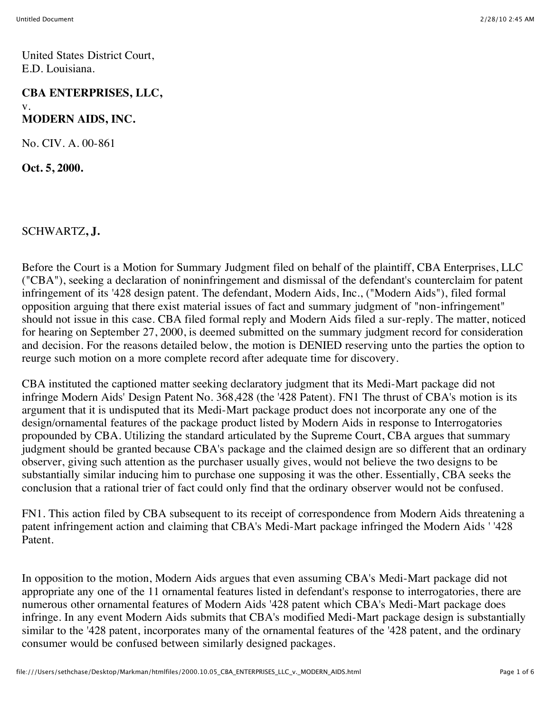United States District Court, E.D. Louisiana.

## **CBA ENTERPRISES, LLC,** v. **MODERN AIDS, INC.**

No. CIV. A. 00-861

**Oct. 5, 2000.**

SCHWARTZ**, J.**

Before the Court is a Motion for Summary Judgment filed on behalf of the plaintiff, CBA Enterprises, LLC ("CBA"), seeking a declaration of noninfringement and dismissal of the defendant's counterclaim for patent infringement of its '428 design patent. The defendant, Modern Aids, Inc., ("Modern Aids"), filed formal opposition arguing that there exist material issues of fact and summary judgment of "non-infringement" should not issue in this case. CBA filed formal reply and Modern Aids filed a sur-reply. The matter, noticed for hearing on September 27, 2000, is deemed submitted on the summary judgment record for consideration and decision. For the reasons detailed below, the motion is DENIED reserving unto the parties the option to reurge such motion on a more complete record after adequate time for discovery.

CBA instituted the captioned matter seeking declaratory judgment that its Medi-Mart package did not infringe Modern Aids' Design Patent No. 368,428 (the '428 Patent). FN1 The thrust of CBA's motion is its argument that it is undisputed that its Medi-Mart package product does not incorporate any one of the design/ornamental features of the package product listed by Modern Aids in response to Interrogatories propounded by CBA. Utilizing the standard articulated by the Supreme Court, CBA argues that summary judgment should be granted because CBA's package and the claimed design are so different that an ordinary observer, giving such attention as the purchaser usually gives, would not believe the two designs to be substantially similar inducing him to purchase one supposing it was the other. Essentially, CBA seeks the conclusion that a rational trier of fact could only find that the ordinary observer would not be confused.

FN1. This action filed by CBA subsequent to its receipt of correspondence from Modern Aids threatening a patent infringement action and claiming that CBA's Medi-Mart package infringed the Modern Aids ' '428 Patent.

In opposition to the motion, Modern Aids argues that even assuming CBA's Medi-Mart package did not appropriate any one of the 11 ornamental features listed in defendant's response to interrogatories, there are numerous other ornamental features of Modern Aids '428 patent which CBA's Medi-Mart package does infringe. In any event Modern Aids submits that CBA's modified Medi-Mart package design is substantially similar to the '428 patent, incorporates many of the ornamental features of the '428 patent, and the ordinary consumer would be confused between similarly designed packages.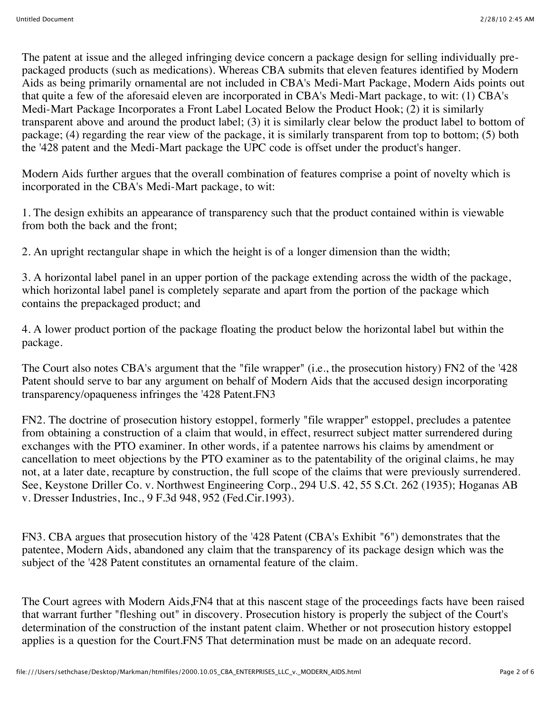The patent at issue and the alleged infringing device concern a package design for selling individually prepackaged products (such as medications). Whereas CBA submits that eleven features identified by Modern Aids as being primarily ornamental are not included in CBA's Medi-Mart Package, Modern Aids points out that quite a few of the aforesaid eleven are incorporated in CBA's Medi-Mart package, to wit: (1) CBA's Medi-Mart Package Incorporates a Front Label Located Below the Product Hook; (2) it is similarly transparent above and around the product label; (3) it is similarly clear below the product label to bottom of package; (4) regarding the rear view of the package, it is similarly transparent from top to bottom; (5) both the '428 patent and the Medi-Mart package the UPC code is offset under the product's hanger.

Modern Aids further argues that the overall combination of features comprise a point of novelty which is incorporated in the CBA's Medi-Mart package, to wit:

1. The design exhibits an appearance of transparency such that the product contained within is viewable from both the back and the front;

2. An upright rectangular shape in which the height is of a longer dimension than the width;

3. A horizontal label panel in an upper portion of the package extending across the width of the package, which horizontal label panel is completely separate and apart from the portion of the package which contains the prepackaged product; and

4. A lower product portion of the package floating the product below the horizontal label but within the package.

The Court also notes CBA's argument that the "file wrapper" (i.e., the prosecution history) FN2 of the '428 Patent should serve to bar any argument on behalf of Modern Aids that the accused design incorporating transparency/opaqueness infringes the '428 Patent.FN3

FN2. The doctrine of prosecution history estoppel, formerly "file wrapper" estoppel, precludes a patentee from obtaining a construction of a claim that would, in effect, resurrect subject matter surrendered during exchanges with the PTO examiner. In other words, if a patentee narrows his claims by amendment or cancellation to meet objections by the PTO examiner as to the patentability of the original claims, he may not, at a later date, recapture by construction, the full scope of the claims that were previously surrendered. See, Keystone Driller Co. v. Northwest Engineering Corp., 294 U.S. 42, 55 S.Ct. 262 (1935); Hoganas AB v. Dresser Industries, Inc., 9 F.3d 948, 952 (Fed.Cir.1993).

FN3. CBA argues that prosecution history of the '428 Patent (CBA's Exhibit "6") demonstrates that the patentee, Modern Aids, abandoned any claim that the transparency of its package design which was the subject of the '428 Patent constitutes an ornamental feature of the claim.

The Court agrees with Modern Aids,FN4 that at this nascent stage of the proceedings facts have been raised that warrant further "fleshing out" in discovery. Prosecution history is properly the subject of the Court's determination of the construction of the instant patent claim. Whether or not prosecution history estoppel applies is a question for the Court.FN5 That determination must be made on an adequate record.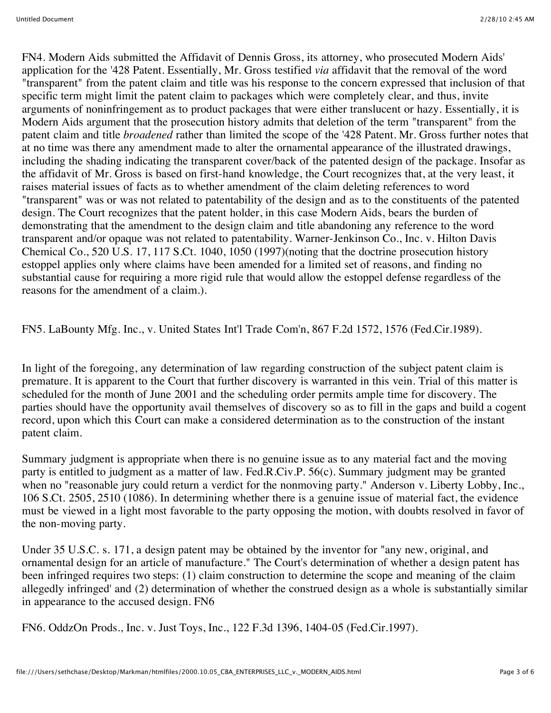FN4. Modern Aids submitted the Affidavit of Dennis Gross, its attorney, who prosecuted Modern Aids' application for the '428 Patent. Essentially, Mr. Gross testified *via* affidavit that the removal of the word "transparent" from the patent claim and title was his response to the concern expressed that inclusion of that specific term might limit the patent claim to packages which were completely clear, and thus, invite arguments of noninfringement as to product packages that were either translucent or hazy. Essentially, it is Modern Aids argument that the prosecution history admits that deletion of the term "transparent" from the patent claim and title *broadened* rather than limited the scope of the '428 Patent. Mr. Gross further notes that at no time was there any amendment made to alter the ornamental appearance of the illustrated drawings, including the shading indicating the transparent cover/back of the patented design of the package. Insofar as the affidavit of Mr. Gross is based on first-hand knowledge, the Court recognizes that, at the very least, it raises material issues of facts as to whether amendment of the claim deleting references to word "transparent" was or was not related to patentability of the design and as to the constituents of the patented design. The Court recognizes that the patent holder, in this case Modern Aids, bears the burden of demonstrating that the amendment to the design claim and title abandoning any reference to the word transparent and/or opaque was not related to patentability. Warner-Jenkinson Co., Inc. v. Hilton Davis Chemical Co., 520 U.S. 17, 117 S.Ct. 1040, 1050 (1997)(noting that the doctrine prosecution history estoppel applies only where claims have been amended for a limited set of reasons, and finding no substantial cause for requiring a more rigid rule that would allow the estoppel defense regardless of the reasons for the amendment of a claim.).

FN5. LaBounty Mfg. Inc., v. United States Int'l Trade Com'n, 867 F.2d 1572, 1576 (Fed.Cir.1989).

In light of the foregoing, any determination of law regarding construction of the subject patent claim is premature. It is apparent to the Court that further discovery is warranted in this vein. Trial of this matter is scheduled for the month of June 2001 and the scheduling order permits ample time for discovery. The parties should have the opportunity avail themselves of discovery so as to fill in the gaps and build a cogent record, upon which this Court can make a considered determination as to the construction of the instant patent claim.

Summary judgment is appropriate when there is no genuine issue as to any material fact and the moving party is entitled to judgment as a matter of law. Fed.R.Civ.P. 56(c). Summary judgment may be granted when no "reasonable jury could return a verdict for the nonmoving party." Anderson v. Liberty Lobby, Inc., 106 S.Ct. 2505, 2510 (1086). In determining whether there is a genuine issue of material fact, the evidence must be viewed in a light most favorable to the party opposing the motion, with doubts resolved in favor of the non-moving party.

Under 35 U.S.C. s. 171, a design patent may be obtained by the inventor for "any new, original, and ornamental design for an article of manufacture." The Court's determination of whether a design patent has been infringed requires two steps: (1) claim construction to determine the scope and meaning of the claim allegedly infringed' and (2) determination of whether the construed design as a whole is substantially similar in appearance to the accused design. FN6

FN6. OddzOn Prods., Inc. v. Just Toys, Inc., 122 F.3d 1396, 1404-05 (Fed.Cir.1997).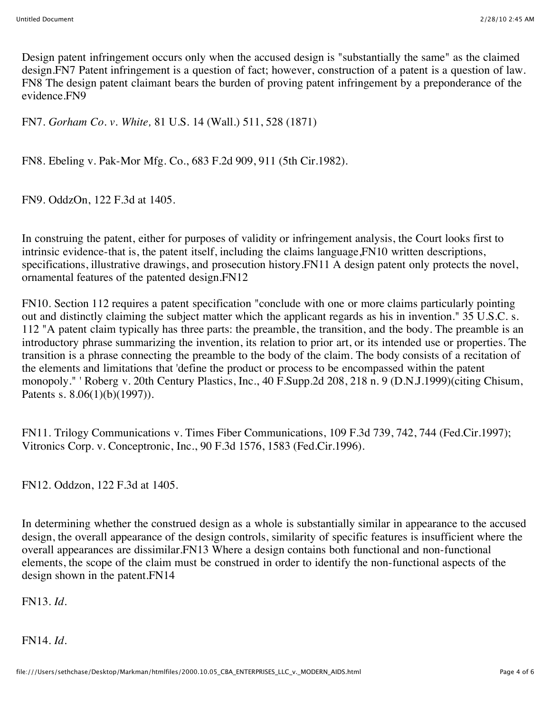Design patent infringement occurs only when the accused design is "substantially the same" as the claimed design.FN7 Patent infringement is a question of fact; however, construction of a patent is a question of law. FN8 The design patent claimant bears the burden of proving patent infringement by a preponderance of the evidence.FN9

FN7. *Gorham Co. v. White,* 81 U.S. 14 (Wall.) 511, 528 (1871)

FN8. Ebeling v. Pak-Mor Mfg. Co., 683 F.2d 909, 911 (5th Cir.1982).

FN9. OddzOn, 122 F.3d at 1405.

In construing the patent, either for purposes of validity or infringement analysis, the Court looks first to intrinsic evidence-that is, the patent itself, including the claims language,FN10 written descriptions, specifications, illustrative drawings, and prosecution history.FN11 A design patent only protects the novel, ornamental features of the patented design.FN12

FN10. Section 112 requires a patent specification "conclude with one or more claims particularly pointing out and distinctly claiming the subject matter which the applicant regards as his in invention." 35 U.S.C. s. 112 "A patent claim typically has three parts: the preamble, the transition, and the body. The preamble is an introductory phrase summarizing the invention, its relation to prior art, or its intended use or properties. The transition is a phrase connecting the preamble to the body of the claim. The body consists of a recitation of the elements and limitations that 'define the product or process to be encompassed within the patent monopoly." ' Roberg v. 20th Century Plastics, Inc., 40 F.Supp.2d 208, 218 n. 9 (D.N.J.1999)(citing Chisum, Patents s. 8.06(1)(b)(1997)).

FN11. Trilogy Communications v. Times Fiber Communications, 109 F.3d 739, 742, 744 (Fed.Cir.1997); Vitronics Corp. v. Conceptronic, Inc., 90 F.3d 1576, 1583 (Fed.Cir.1996).

FN12. Oddzon, 122 F.3d at 1405.

In determining whether the construed design as a whole is substantially similar in appearance to the accused design, the overall appearance of the design controls, similarity of specific features is insufficient where the overall appearances are dissimilar.FN13 Where a design contains both functional and non-functional elements, the scope of the claim must be construed in order to identify the non-functional aspects of the design shown in the patent.FN14

FN13. *Id.*

FN14. *Id.*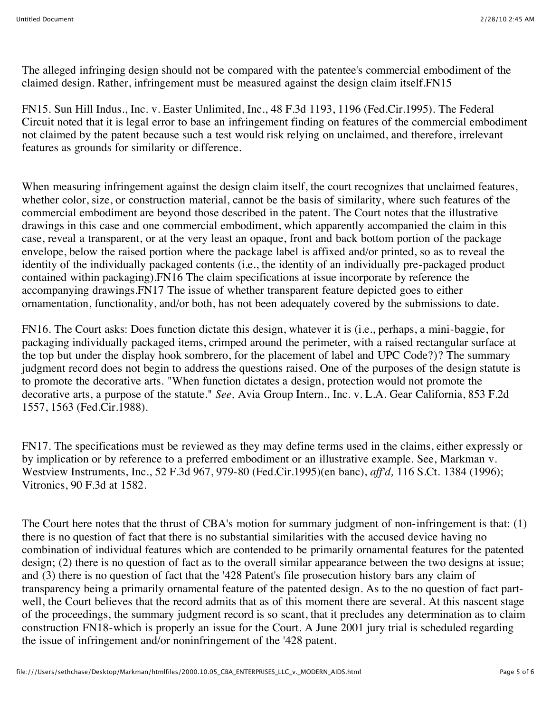The alleged infringing design should not be compared with the patentee's commercial embodiment of the claimed design. Rather, infringement must be measured against the design claim itself.FN15

FN15. Sun Hill Indus., Inc. v. Easter Unlimited, Inc., 48 F.3d 1193, 1196 (Fed.Cir.1995). The Federal Circuit noted that it is legal error to base an infringement finding on features of the commercial embodiment not claimed by the patent because such a test would risk relying on unclaimed, and therefore, irrelevant features as grounds for similarity or difference.

When measuring infringement against the design claim itself, the court recognizes that unclaimed features, whether color, size, or construction material, cannot be the basis of similarity, where such features of the commercial embodiment are beyond those described in the patent. The Court notes that the illustrative drawings in this case and one commercial embodiment, which apparently accompanied the claim in this case, reveal a transparent, or at the very least an opaque, front and back bottom portion of the package envelope, below the raised portion where the package label is affixed and/or printed, so as to reveal the identity of the individually packaged contents (i.e., the identity of an individually pre-packaged product contained within packaging).FN16 The claim specifications at issue incorporate by reference the accompanying drawings.FN17 The issue of whether transparent feature depicted goes to either ornamentation, functionality, and/or both, has not been adequately covered by the submissions to date.

FN16. The Court asks: Does function dictate this design, whatever it is (i.e., perhaps, a mini-baggie, for packaging individually packaged items, crimped around the perimeter, with a raised rectangular surface at the top but under the display hook sombrero, for the placement of label and UPC Code?)? The summary judgment record does not begin to address the questions raised. One of the purposes of the design statute is to promote the decorative arts. "When function dictates a design, protection would not promote the decorative arts, a purpose of the statute." *See,* Avia Group Intern., Inc. v. L.A. Gear California, 853 F.2d 1557, 1563 (Fed.Cir.1988).

FN17. The specifications must be reviewed as they may define terms used in the claims, either expressly or by implication or by reference to a preferred embodiment or an illustrative example. See, Markman v. Westview Instruments, Inc., 52 F.3d 967, 979-80 (Fed.Cir.1995)(en banc), *aff'd,* 116 S.Ct. 1384 (1996); Vitronics, 90 F.3d at 1582.

The Court here notes that the thrust of CBA's motion for summary judgment of non-infringement is that: (1) there is no question of fact that there is no substantial similarities with the accused device having no combination of individual features which are contended to be primarily ornamental features for the patented design; (2) there is no question of fact as to the overall similar appearance between the two designs at issue; and (3) there is no question of fact that the '428 Patent's file prosecution history bars any claim of transparency being a primarily ornamental feature of the patented design. As to the no question of fact partwell, the Court believes that the record admits that as of this moment there are several. At this nascent stage of the proceedings, the summary judgment record is so scant, that it precludes any determination as to claim construction FN18-which is properly an issue for the Court. A June 2001 jury trial is scheduled regarding the issue of infringement and/or noninfringement of the '428 patent.